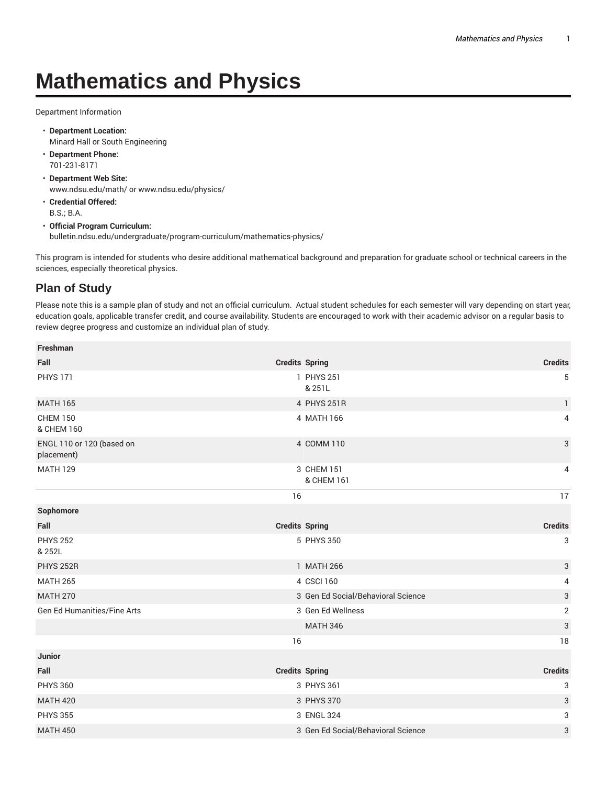## **Mathematics and Physics**

Department Information

- **Department Location:** Minard Hall or South Engineering
- **Department Phone:** 701-231-8171
- **Department Web Site:** www.ndsu.edu/math/ or www.ndsu.edu/physics/
- **Credential Offered:** B.S.; B.A.
- **Official Program Curriculum:** bulletin.ndsu.edu/undergraduate/program-curriculum/mathematics-physics/

This program is intended for students who desire additional mathematical background and preparation for graduate school or technical careers in the sciences, especially theoretical physics.

## **Plan of Study**

Please note this is a sample plan of study and not an official curriculum. Actual student schedules for each semester will vary depending on start year, education goals, applicable transfer credit, and course availability. Students are encouraged to work with their academic advisor on a regular basis to review degree progress and customize an individual plan of study.

| Freshman                                |                       |                                    |                           |
|-----------------------------------------|-----------------------|------------------------------------|---------------------------|
| Fall                                    | <b>Credits Spring</b> |                                    | <b>Credits</b>            |
| <b>PHYS 171</b>                         |                       | 1 PHYS 251<br>& 251L               | 5                         |
| <b>MATH 165</b>                         |                       | 4 PHYS 251R                        | $\mathbf{1}$              |
| <b>CHEM 150</b><br>& CHEM 160           |                       | 4 MATH 166                         | 4                         |
| ENGL 110 or 120 (based on<br>placement) |                       | 4 COMM 110                         | $\mathfrak{S}$            |
| <b>MATH 129</b>                         |                       | 3 CHEM 151<br>& CHEM 161           | 4                         |
|                                         | 16                    |                                    | 17                        |
| Sophomore                               |                       |                                    |                           |
| Fall                                    | <b>Credits Spring</b> |                                    | <b>Credits</b>            |
| <b>PHYS 252</b><br>& 252L               |                       | 5 PHYS 350                         | 3                         |
| <b>PHYS 252R</b>                        |                       | 1 MATH 266                         | $\sqrt{3}$                |
| <b>MATH 265</b>                         |                       | 4 CSCI 160                         | 4                         |
| <b>MATH 270</b>                         |                       | 3 Gen Ed Social/Behavioral Science | $\ensuremath{\mathsf{3}}$ |
| Gen Ed Humanities/Fine Arts             |                       | 3 Gen Ed Wellness                  | $\sqrt{2}$                |
|                                         |                       | <b>MATH 346</b>                    | $\ensuremath{\mathsf{3}}$ |
|                                         | 16                    |                                    | 18                        |
| Junior                                  |                       |                                    |                           |
| Fall                                    | <b>Credits Spring</b> |                                    | <b>Credits</b>            |
| <b>PHYS 360</b>                         |                       | 3 PHYS 361                         | 3                         |
| <b>MATH 420</b>                         |                       | 3 PHYS 370                         | $\ensuremath{\mathsf{3}}$ |
| <b>PHYS 355</b>                         |                       | 3 ENGL 324                         | 3                         |
| <b>MATH 450</b>                         |                       | 3 Gen Ed Social/Behavioral Science | 3                         |